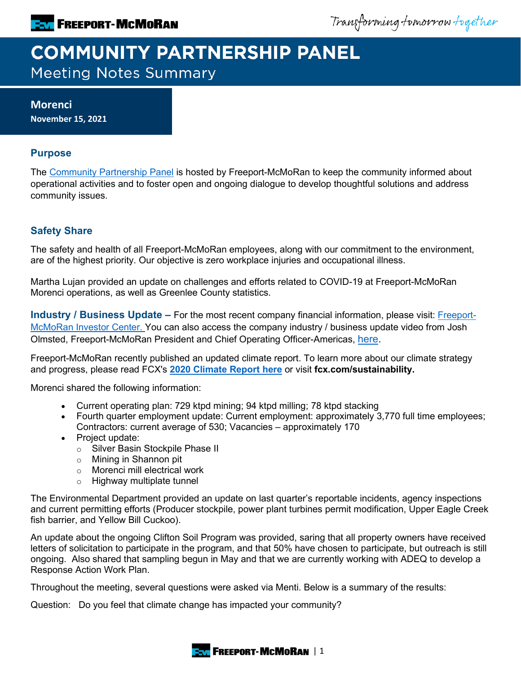Transforming tomorrow together

# **COMMUNITY PARTNERSHIP PANEL Meeting Notes Summary**

## **Morenci November 15, 2021**

# **Purpose**

The [Community Partnership Panel](https://www.freeportinmycommunity.com/stakeholders/stakeholder-engagement-) is hosted by Freeport-McMoRan to keep the community informed about operational activities and to foster open and ongoing dialogue to develop thoughtful solutions and address community issues.

## **Safety Share**

The safety and health of all Freeport-McMoRan employees, along with our commitment to the environment, are of the highest priority. Our objective is zero workplace injuries and occupational illness.

Martha Lujan provided an update on challenges and efforts related to COVID-19 at Freeport-McMoRan Morenci operations, as well as Greenlee County statistics.

**Industry / Business Update –** For the most recent company financial information, please visit: [Freeport-](http://investors.fcx.com/investors/default.aspx)[McMoRan Investor Center.](http://investors.fcx.com/investors/default.aspx) You can also access the company industry / business update video from Josh Olmsted, Freeport-McMoRan President and Chief Operating Officer-Americas, [here.](https://youtu.be/cCXXaE3grIo)

Freeport-McMoRan recently published an updated climate report. To learn more about our climate strategy and progress, please read FCX's **[2020 Climate Report here](https://www.fcx.com/sites/fcx/files/documents/sustainability/2020-Climate-Report.pdf)** or visit **fcx.com/sustainability.**

Morenci shared the following information:

- Current operating plan: 729 ktpd mining; 94 ktpd milling; 78 ktpd stacking
- Fourth quarter employment update: Current employment: approximately 3,770 full time employees; Contractors: current average of 530; Vacancies – approximately 170
- Project update:
	- o Silver Basin Stockpile Phase II
	- o Mining in Shannon pit
	- o Morenci mill electrical work
	- o Highway multiplate tunnel

The Environmental Department provided an update on last quarter's reportable incidents, agency inspections and current permitting efforts (Producer stockpile, power plant turbines permit modification, Upper Eagle Creek fish barrier, and Yellow Bill Cuckoo).

An update about the ongoing Clifton Soil Program was provided, saring that all property owners have received letters of solicitation to participate in the program, and that 50% have chosen to participate, but outreach is still ongoing. Also shared that sampling begun in May and that we are currently working with ADEQ to develop a Response Action Work Plan.

Throughout the meeting, several questions were asked via Menti. Below is a summary of the results:

Question: Do you feel that climate change has impacted your community?

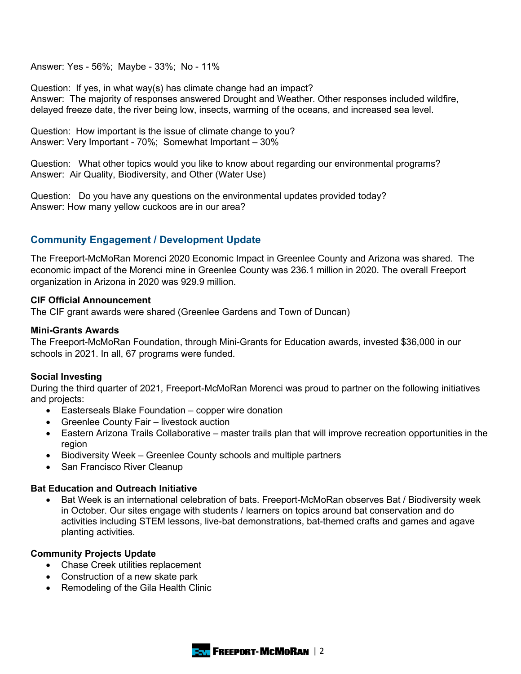Answer: Yes - 56%; Maybe - 33%; No - 11%

Question: If yes, in what way(s) has climate change had an impact? Answer: The majority of responses answered Drought and Weather. Other responses included wildfire, delayed freeze date, the river being low, insects, warming of the oceans, and increased sea level.

Question: How important is the issue of climate change to you? Answer: Very Important - 70%; Somewhat Important – 30%

Question: What other topics would you like to know about regarding our environmental programs? Answer: Air Quality, Biodiversity, and Other (Water Use)

Question: Do you have any questions on the environmental updates provided today? Answer: How many yellow cuckoos are in our area?

### **Community Engagement / Development Update**

The Freeport-McMoRan Morenci 2020 Economic Impact in Greenlee County and Arizona was shared. The economic impact of the Morenci mine in Greenlee County was 236.1 million in 2020. The overall Freeport organization in Arizona in 2020 was 929.9 million.

#### **CIF Official Announcement**

The CIF grant awards were shared (Greenlee Gardens and Town of Duncan)

#### **Mini-Grants Awards**

The Freeport-McMoRan Foundation, through Mini-Grants for Education awards, invested \$36,000 in our schools in 2021. In all, 67 programs were funded.

#### **Social Investing**

During the third quarter of 2021, Freeport-McMoRan Morenci was proud to partner on the following initiatives and projects:

- Easterseals Blake Foundation copper wire donation
- Greenlee County Fair livestock auction
- Eastern Arizona Trails Collaborative master trails plan that will improve recreation opportunities in the region
- Biodiversity Week Greenlee County schools and multiple partners
- San Francisco River Cleanup

#### **Bat Education and Outreach Initiative**

• Bat Week is an international celebration of bats. Freeport-McMoRan observes Bat / Biodiversity week in October. Our sites engage with students / learners on topics around bat conservation and do activities including STEM lessons, live-bat demonstrations, bat-themed crafts and games and agave planting activities.

#### **Community Projects Update**

- Chase Creek utilities replacement
- Construction of a new skate park
- Remodeling of the Gila Health Clinic